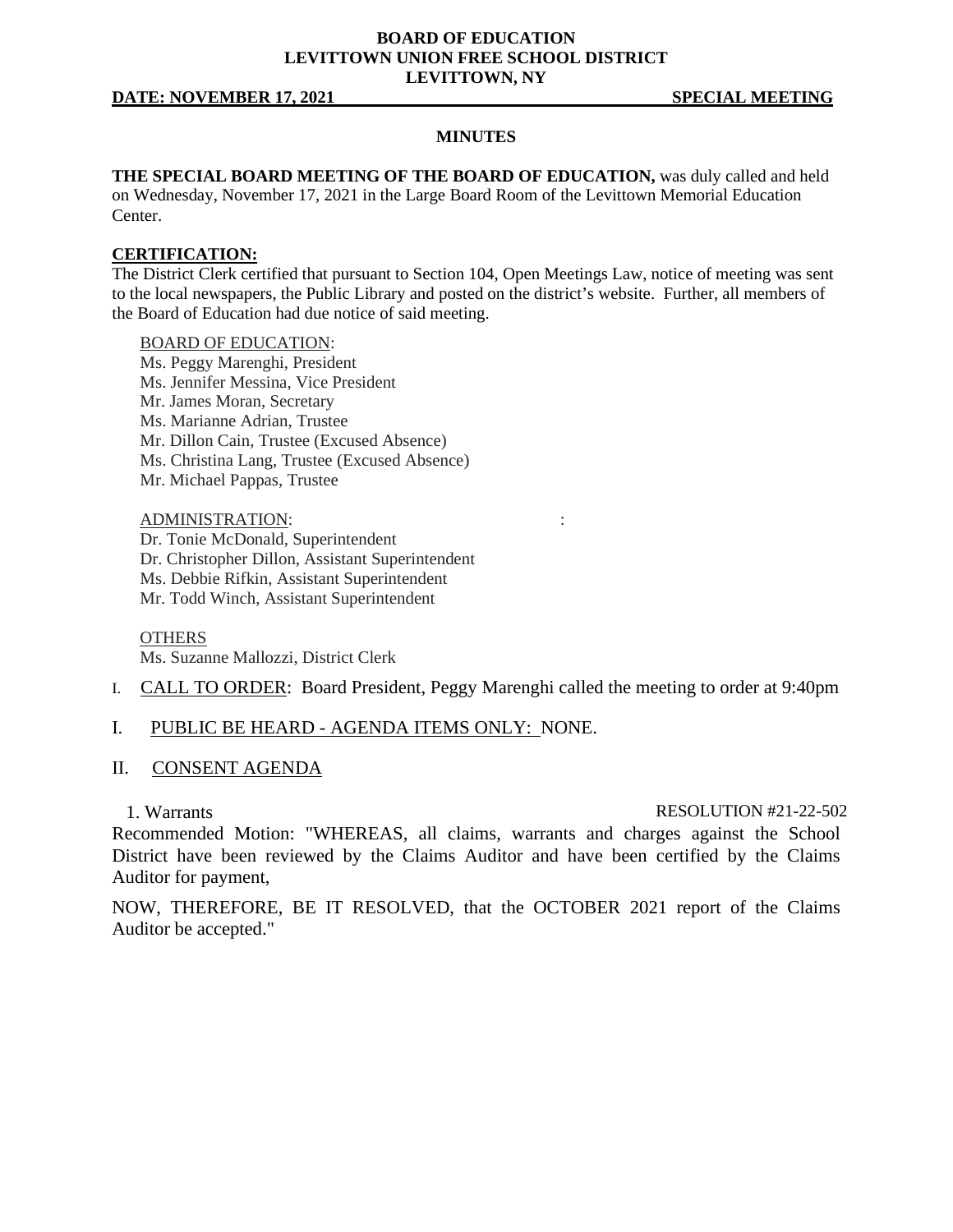# **BOARD OF EDUCATION LEVITTOWN UNION FREE SCHOOL DISTRICT LEVITTOWN, NY**

### **DATE: NOVEMBER 17, 2021 SPECIAL MEETING**

## **MINUTES**

**THE SPECIAL BOARD MEETING OF THE BOARD OF EDUCATION,** was duly called and held on Wednesday, November 17, 2021 in the Large Board Room of the Levittown Memorial Education Center.

### **CERTIFICATION:**

The District Clerk certified that pursuant to Section 104, Open Meetings Law, notice of meeting was sent to the local newspapers, the Public Library and posted on the district's website. Further, all members of the Board of Education had due notice of said meeting.

# BOARD OF EDUCATION:

- Ms. Peggy Marenghi, President
- Ms. Jennifer Messina, Vice President
- Mr. James Moran, Secretary
- Ms. Marianne Adrian, Trustee
- Mr. Dillon Cain, Trustee (Excused Absence)
- Ms. Christina Lang, Trustee (Excused Absence)
- Mr. Michael Pappas, Trustee

### ADMINISTRATION: :

Dr. Tonie McDonald, Superintendent Dr. Christopher Dillon, Assistant Superintendent Ms. Debbie Rifkin, Assistant Superintendent Mr. Todd Winch, Assistant Superintendent

### **OTHERS**

Ms. Suzanne Mallozzi, District Clerk

- I. CALL TO ORDER: Board President, Peggy Marenghi called the meeting to order at 9:40pm
- I. PUBLIC BE HEARD AGENDA ITEMS ONLY: NONE.

## II. CONSENT AGENDA

1. Warrants RESOLUTION #21-22-502

Recommended Motion: "WHEREAS, all claims, warrants and charges against the School District have been reviewed by the Claims Auditor and have been certified by the Claims Auditor for payment,

NOW, THEREFORE, BE IT RESOLVED, that the OCTOBER 2021 report of the Claims Auditor be accepted."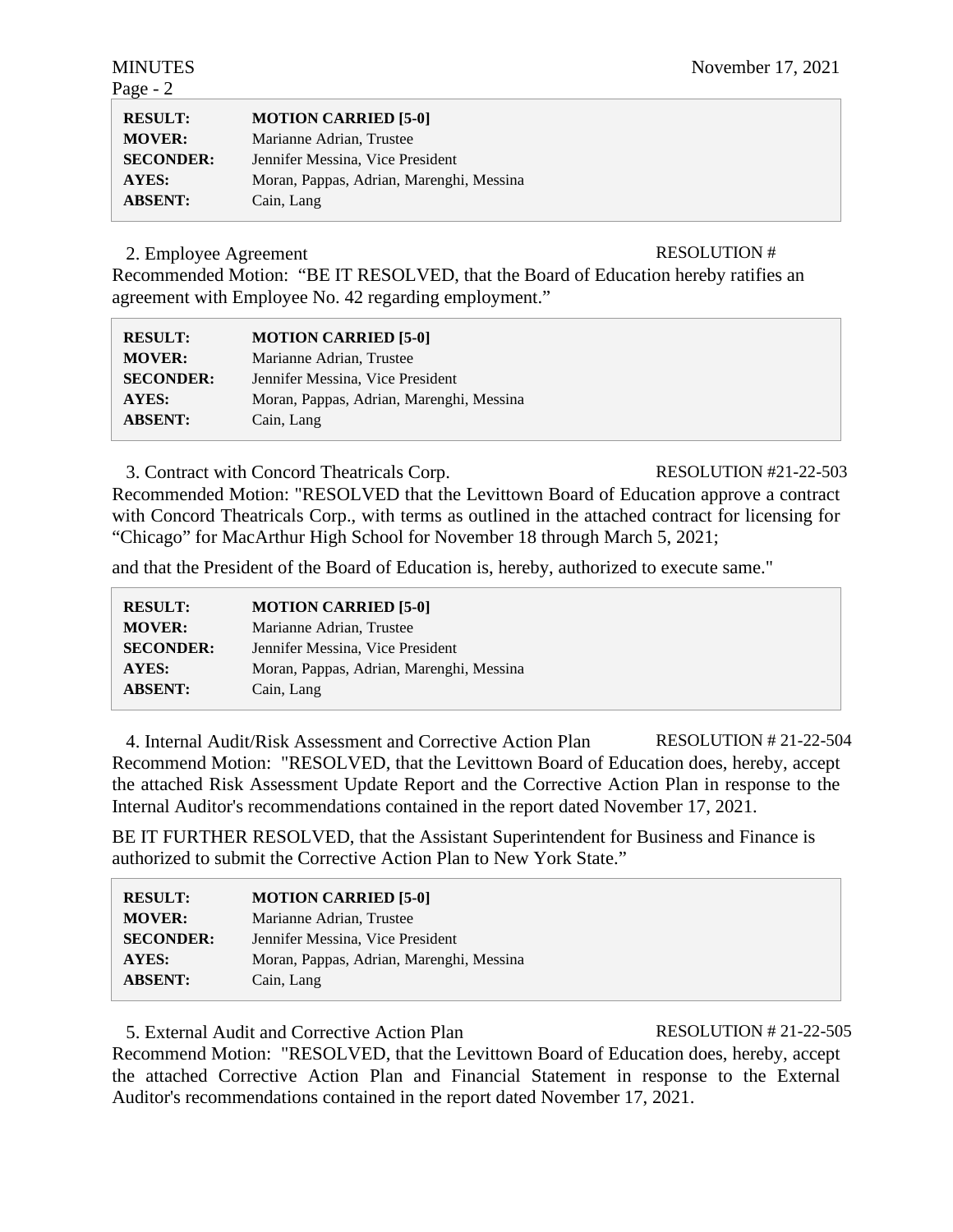| $[5-0]$ |  |  |
|---------|--|--|

| REJULI.          | <b>NUTREA CARRILD SUIT</b>               |
|------------------|------------------------------------------|
| <b>MOVER:</b>    | Marianne Adrian, Trustee                 |
| <b>SECONDER:</b> | Jennifer Messina, Vice President         |
| <b>AYES:</b>     | Moran, Pappas, Adrian, Marenghi, Messina |
| <b>ABSENT:</b>   | Cain, Lang                               |

2. Employee Agreement RESOLUTION #

**RESULT: MOTION CARRIED** 

Recommended Motion: "BE IT RESOLVED, that the Board of Education hereby ratifies an agreement with Employee No. 42 regarding employment."

| <b>RESULT:</b>   | <b>MOTION CARRIED [5-0]</b>              |
|------------------|------------------------------------------|
| <b>MOVER:</b>    | Marianne Adrian, Trustee                 |
| <b>SECONDER:</b> | Jennifer Messina, Vice President         |
| AYES:            | Moran, Pappas, Adrian, Marenghi, Messina |
| <b>ABSENT:</b>   | Cain, Lang                               |

3. Contract with Concord Theatricals Corp. RESOLUTION #21-22-503

Recommended Motion: "RESOLVED that the Levittown Board of Education approve a contract with Concord Theatricals Corp., with terms as outlined in the attached contract for licensing for "Chicago" for MacArthur High School for November 18 through March 5, 2021;

and that the President of the Board of Education is, hereby, authorized to execute same."

| <b>RESULT:</b>   | <b>MOTION CARRIED [5-0]</b>              |
|------------------|------------------------------------------|
| <b>MOVER:</b>    | Marianne Adrian, Trustee                 |
| <b>SECONDER:</b> | Jennifer Messina, Vice President         |
| AYES:            | Moran, Pappas, Adrian, Marenghi, Messina |
| <b>ABSENT:</b>   | Cain, Lang                               |

4. Internal Audit/Risk Assessment and Corrective Action Plan RESOLUTION # 21-22-504 Recommend Motion: "RESOLVED, that the Levittown Board of Education does, hereby, accept the attached Risk Assessment Update Report and the Corrective Action Plan in response to the Internal Auditor's recommendations contained in the report dated November 17, 2021.

BE IT FURTHER RESOLVED, that the Assistant Superintendent for Business and Finance is authorized to submit the Corrective Action Plan to New York State."

| <b>RESULT:</b>   | <b>MOTION CARRIED [5-0]</b>              |
|------------------|------------------------------------------|
| <b>MOVER:</b>    | Marianne Adrian, Trustee                 |
| <b>SECONDER:</b> | Jennifer Messina, Vice President         |
| <b>AYES:</b>     | Moran, Pappas, Adrian, Marenghi, Messina |
| <b>ABSENT:</b>   | Cain, Lang                               |

5. External Audit and Corrective Action Plan RESOLUTION # 21-22-505

Recommend Motion: "RESOLVED, that the Levittown Board of Education does, hereby, accept the attached Corrective Action Plan and Financial Statement in response to the External Auditor's recommendations contained in the report dated November 17, 2021.